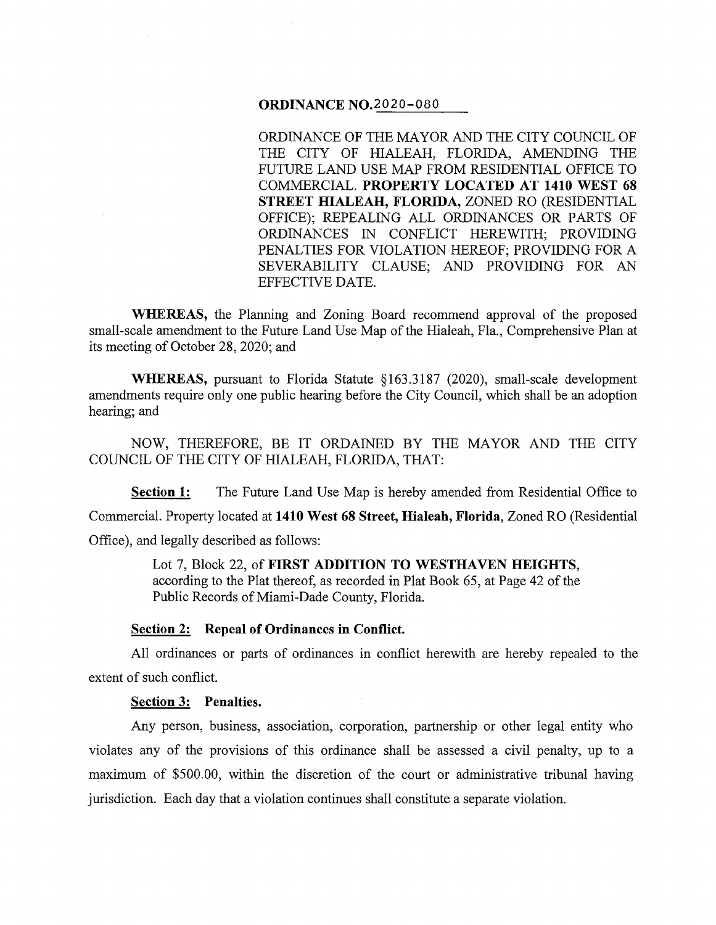## **ORDINANCE** N0.2020-080

ORDINANCE OF THE MAYOR AND THE CITY COUNCIL OF THE CITY OF HIALEAH, FLORIDA, AMENDING THE FUTURE LAND USE MAP FROM RESIDENTIAL OFFICE TO COMMERCIAL. **PROPERTY LOCATED AT 1410 WEST 68 STREET HIALEAH, FLORIDA,** ZONED RO (RESIDENTIAL OFFICE); REPEALING ALL ORDINANCES OR PARTS OF ORDINANCES IN CONFLICT HEREWITH; PROVIDING PENALTIES FOR VIOLATION HEREOF; PROVIDING FOR A SEVERABILITY CLAUSE; AND PROVIDING FOR AN EFFECTIVE DATE.

**WHEREAS,** the Planning and Zoning Board recommend approval of the proposed small-scale amendment to the Future Land Use Map of the Hialeah, Fla., Comprehensive Plan at its meeting of October 28, 2020; and

**WHEREAS,** pursuant to Florida Statute §163.3187 (2020), small-scale development amendments require only one public hearing before the City Council, which shall be an adoption hearing; and

NOW, THEREFORE, BE IT ORDAINED BY THE MAYOR AND THE CITY COUNCIL OF THE CITY OF HIALEAH, FLORIDA, THAT:

**Section 1:** The Future Land Use Map is hereby amended from Residential Office to Commercial. Property located at **1410 West 68 Street, Hialeah, Florida,** Zoned RO (Residential Office), and legally described as follows:

> Lot 7, Block 22, of **FIRST ADDITION TO WESTHAVEN HEIGHTS,**  according to the Plat thereof, as recorded in Plat Book 65, at Page 42 of the Public Records of Miami-Dade County, Florida.

#### **Section 2: Repeal of Ordinances in Conflict.**

All ordinances or parts of ordinances in conflict herewith are hereby repealed to the extent of such conflict.

#### **Section 3: Penalties.**

Any person, business, association, corporation, partnership or other legal entity who violates any of the provisions of this ordinance shall be assessed a civil penalty, up to a maximum of \$500.00, within the discretion of the court or administrative tribunal having jurisdiction. Each day that a violation continues shall constitute a separate violation.